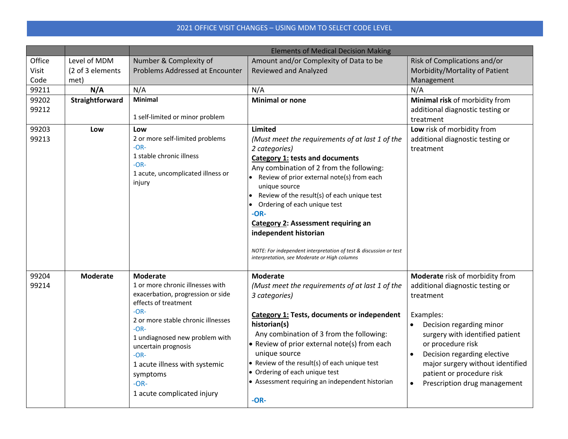## 2021 OFFICE VISIT CHANGES – USING MDM TO SELECT CODE LEVEL

|                         |                                          | <b>Elements of Medical Decision Making</b>                                                                                                                                                                                                                                                                                         |                                                                                                                                                                                                                                                                                                                                                                                                                                                                                                                                |                                                                                                                                                                                                                                                                                                                                             |  |
|-------------------------|------------------------------------------|------------------------------------------------------------------------------------------------------------------------------------------------------------------------------------------------------------------------------------------------------------------------------------------------------------------------------------|--------------------------------------------------------------------------------------------------------------------------------------------------------------------------------------------------------------------------------------------------------------------------------------------------------------------------------------------------------------------------------------------------------------------------------------------------------------------------------------------------------------------------------|---------------------------------------------------------------------------------------------------------------------------------------------------------------------------------------------------------------------------------------------------------------------------------------------------------------------------------------------|--|
| Office<br>Visit<br>Code | Level of MDM<br>(2 of 3 elements<br>met) | Number & Complexity of<br>Problems Addressed at Encounter                                                                                                                                                                                                                                                                          | Amount and/or Complexity of Data to be<br><b>Reviewed and Analyzed</b>                                                                                                                                                                                                                                                                                                                                                                                                                                                         | Risk of Complications and/or<br>Morbidity/Mortality of Patient<br>Management                                                                                                                                                                                                                                                                |  |
| 99211                   | N/A                                      | N/A                                                                                                                                                                                                                                                                                                                                | N/A                                                                                                                                                                                                                                                                                                                                                                                                                                                                                                                            | N/A                                                                                                                                                                                                                                                                                                                                         |  |
| 99202<br>99212          | Straightforward                          | <b>Minimal</b><br>1 self-limited or minor problem                                                                                                                                                                                                                                                                                  | <b>Minimal or none</b>                                                                                                                                                                                                                                                                                                                                                                                                                                                                                                         | Minimal risk of morbidity from<br>additional diagnostic testing or<br>treatment                                                                                                                                                                                                                                                             |  |
| 99203<br>99213          | Low                                      | Low<br>2 or more self-limited problems<br>$-OR-$<br>1 stable chronic illness<br>$-OR-$<br>1 acute, uncomplicated illness or<br>injury                                                                                                                                                                                              | <b>Limited</b><br>(Must meet the requirements of at last 1 of the<br>2 categories)<br><b>Category 1: tests and documents</b><br>Any combination of 2 from the following:<br>• Review of prior external note(s) from each<br>unique source<br>Review of the result(s) of each unique test<br>Ordering of each unique test<br>$-OR-$<br><b>Category 2: Assessment requiring an</b><br>independent historian<br>NOTE: For independent interpretation of test & discussion or test<br>interpretation, see Moderate or High columns | Low risk of morbidity from<br>additional diagnostic testing or<br>treatment                                                                                                                                                                                                                                                                 |  |
| 99204<br>99214          | <b>Moderate</b>                          | <b>Moderate</b><br>1 or more chronic illnesses with<br>exacerbation, progression or side<br>effects of treatment<br>$-OR-$<br>2 or more stable chronic illnesses<br>$-OR-$<br>1 undiagnosed new problem with<br>uncertain prognosis<br>$-OR-$<br>1 acute illness with systemic<br>symptoms<br>$-OR-$<br>1 acute complicated injury | <b>Moderate</b><br>(Must meet the requirements of at last 1 of the<br>3 categories)<br><b>Category 1: Tests, documents or independent</b><br>historian(s)<br>Any combination of 3 from the following:<br>• Review of prior external note(s) from each<br>unique source<br>• Review of the result(s) of each unique test<br>• Ordering of each unique test<br>• Assessment requiring an independent historian<br>$-OR-$                                                                                                         | Moderate risk of morbidity from<br>additional diagnostic testing or<br>treatment<br>Examples:<br>Decision regarding minor<br>$\bullet$<br>surgery with identified patient<br>or procedure risk<br>Decision regarding elective<br>major surgery without identified<br>patient or procedure risk<br>Prescription drug management<br>$\bullet$ |  |